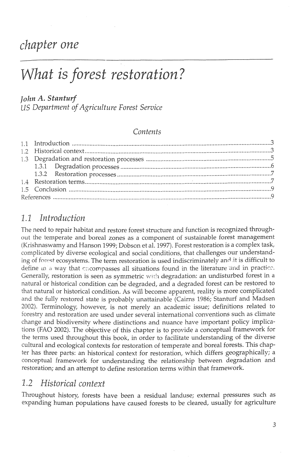## *chapter one*

# What is forest restoration?

## John A. Stanturf

US Department of Agriculture Forest Service

#### Contents

#### Introduction  $1.1$

The need to repair habitat and restore forest structure and function is recognized throughout the temperate and boreal zones as a component of sustainable forest management (Krishnaswamy and Hanson 1999; Dobson et al. 1997). Forest restoration is a complex task, complicated by diverse ecological and social conditions, that challenges our understanding of forest ecosystems. The term restoration is used indiscriminately and it is difficult to define in a way that encompasses all situations found in the literature and in practice. Generally, restoration is seen as symmetric with degradation: an undisturbed forest in a natural or historical condition can be degraded, and a degraded forest can be restored to that natural or historical condition. As will become apparent, reality is more complicated and the fully restored state is probably unattainable (Cairns 1986; Stanturf and Madsen 2002). Terminology, however, is not merely an academic issue; definitions related to forestry and restoration are used under several international conventions such as climate change and biodiversity where distinctions and nuance have important policy implications (FAO 2002). The objective of this chapter is to provide a conceptual framework for the terms used throughout this book, in order to facilitate understanding of the diverse cultural and ecological contexts for restoration of temperate and boreal forests. This chapter has three parts: an historical context for restoration, which differs geographically; a conceptual framework for understanding the relationship between degradation and restoration; and an attempt to define restoration terms within that framework.

#### Historical context  $1.2$

Throughout history, forests have been a residual landuse; external pressures such as expanding human populations have caused forests to be cleared, usually for agriculture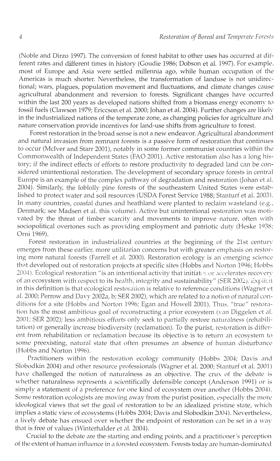(Noble and Dirzo 1997). The conversion of forest habitat to other uses has occurred at different rates and different times in history (Goudie 1986; Dobson et al. 1997). For example, most of Europe and Asia were settled millennia ago, while human occupation of the Americas is much shorter. Nevertheless, the transformation of landuse is not unidirectional; wars, plagues, population movement and fluctuations, and climate changes cause agricultural abandonment and reversion to forests. Significant changes have occurred within the last 200 years as developed nations shifted from a biomass energy economy to fossil fuels (Clawson 1979; Ericcson et al. 2000; Johan et al. 2004). Further changes are likely in the industrialized nations of the temperate zone, as changing policies for agriculture and nature conservation provide incentives for land-use shifts from agriculture to forest.

Forest restoration in the broad sense is not a new endeavor. Agricultural abandonment and natural invasion from remnant forests is a passive form of restoration that continues to occur (McIver and Starr 2001), notably in some former communist countries within the Commonwealth of Independent States (FAO 2001). Active restoration also has a long history; if the indirect effects of efforts to restore productivity to degraded land can be considered unintentional restoration. The development of secondary spruce forests in central Europe is an example of the complex pathway of degradation and restoration (Johan et al. 2004). Similarly, the loblolly pine forests of the southeastern United States were established to protect water and soil resources (USDA Forest Service 1988; Stanturf et al. 2003). In many countries, coastal dunes and heathland were planted to reclaim wasteland (e.g., Denmark; see Madsen et al. this volume). Active but unintentional restoration was motivated by the threat of timber scarcity and movements to improve nature, often with sociopolitical overtones such as providing employment and patriotic duty (Heske 1938; Orni 1969).

Forest restoration in industrialized countries at the beginning of the 21st century emerges from these earlier, more utilitarian concerns but with greater emphasis on restoring more natural forests (Farrell et al. 2000). Restoration ecology is an emerging science that developed out of restoration projects at specific sites (Hobbs and Norton 1996; Hobbs 2004). Ecological restoration "is an intentional activity that initiates or accelerates recovery of an ecosystem with respect to its health, integrity and sustainability" (SER 2002). Explicit in this definition is that ecological restoration is relative to reference conditions (Wagner et al. 2000; Perrow and Davy 2002a, b; SER 2002), which are related to a notion of natural conditions for a site (Hobbs and Norton 1996; Egan and Howell 2001). Thus, "true" restoration has the most ambitious goal of reconstructing a prior ecosystem (van Diggelen et al. 2001; SER 2002); less ambitious efforts only seek to partially restore naturalness (rehabilitation) or generally increase biodiversity (reclamation). To the purist, restoration is different from rehabilitation or reclamation because its objective is to return an ecosystem to some preexisting, natural state that often presumes an absence of human disturbance (Hobbs and Norton 1996).

Practitioners within the restoration ecology community (Hobbs 2004; Davis and Slobodkin 2004) and other resource professionals (Wagner et al. 2000; Stanturf et al. 2001) have challenged the notion of naturalness as an objective. The crux of the debate is whether naturalness represents a scientifically defensible concept (Anderson 1991) or is simply a statement of a preference for one kind of ecosystem over another (Hobbs 2001). Some restoration ecologists are moving away from the purist position, especially the more ideological views that set the goal of restoration to be an idealized pristine state, which implies a static view of ecosystems (Hobbs 2004; Davis and Slobodkin 2004). Nevertheless, a lively debate has ensued over whether the endpoint of restoration can be set in a wav that is free of values (Winterhalder et al. 2004).

Crucial to the debate are the starting and ending points, and a practitioner's perception of the extent of human influence in a forested ecosystem. Forests today are human-dominated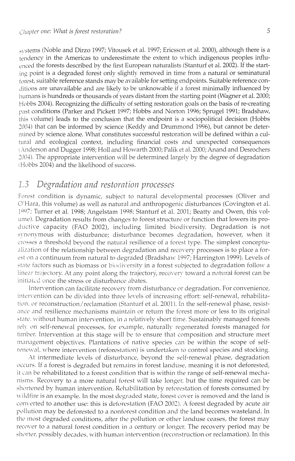systems (Noble and Dirzo 1997; Vitousek et al. 1997; Ericsson et al. 2000), although there is a tendency in the Americas to underestimate the extent to which indigenous peoples influenced the forests described by the first European naturalists (Stanturf et al. 2002). If the starting point is a degraded forest only slightly removed in time from a natural or seminatural forest, suitable reference stands may be available for setting endpoints. Suitable reference conditions are unavailable and are likely to be unknowable if a forest minimally influenced by humans is hundreds or thousands of years distant from the starting point (Wagner et al. 2000; Hobbs 2004). Recognizing the difficulty of setting restoration goals on the basis of re-creating past conditions (Parker and Pickett 1997; Hobbs and Norton 1996; Sprugel 1991; Bradshaw, this volume) leads to the conclusion that the endpoint is a sociopolitical decision (Hobbs 2004) that can be informed by science (Keddy and Drummond 1996), but cannot be determined by science alone. What constitutes successful restoration will be defined within a cultural and ecological context, including financial costs and unexpected consequences (Anderson and Dugger 1998; Holl and Howarth 2000; Palik et al. 2000; Anand and Desrochers 2004). The appropriate intervention will be determined largely by the degree of degradation

#### Degradation and restoration processes  $7.3$

(Hobbs 2004) and the likelihood of success.

Forest condition is dynamic, subject to natural developmental processes (Oliver and O'Hara, this volume) as well as natural and anthropogenic disturbances (Covington et al. 1997; Turner et al. 1998; Angelstam 1998; Stanturf et al. 2001; Beatty and Owen, this volume). Degradation results from changes to forest structure or function that lowers its productive capacity (FAO 2002), including limited biodiversity. Degradation is not synonymous with disturbance; disturbance becomes degradation, however, when it crosses a threshold beyond the natural resilience of a forest type. The simplest conceptualization of the relationship between degradation and recovery processes is to place a forest on a continuum from natural to degraded (Bradshaw 1997; Harrington 1999). Levels of state factors such as biomass or biodiversity in a forest subjected to degradation follow a linear trajectory. At any point along the trajectory, recovery toward a natural forest can be initiated once the stress or disturbance abates.

Intervention can facilitate recovery from disturbance or degradation. For convenience, intervention can be divided into three levels of increasing effort: self-renewal, rehabilitation, or reconstruction/reclamation (Stanturf et al. 2001). In the self-renewal phase, resistance and resilience mechanisms maintain or return the forest more or less to its original state, without human intervention, in a relatively short time. Sustainably managed forests rely on self-renewal processes, for example, naturally regenerated forests managed for timber. Intervention at this stage will be to ensure that composition and structure meet management objectives. Plantations of native species can be within the scope of selfrenewal, where intervention (reforestation) is undertaken to control species and stocking.

At intermediate levels of disturbance, beyond the self-renewal phase, degradation occurs. If a forest is degraded but remains in forest landuse, meaning it is not deforested, it can be rehabilitated to a forest condition that is within the range of self-renewal mechanisms. Recovery to a more natural forest will take longer, but the time required can be shortened by human intervention. Rehabilitation by reforestation of forests consumed by wildfire is an example. In the most degraded state, forest cover is removed and the land is converted to another use: this is deforestation (FAO 2002). A forest degraded by acute air pollution may be deforested to a nonforest condition and the land becomes wasteland. In the most degraded conditions, after the pollution or other landuse ceases, the forest may recover to a natural forest condition in a century or longer. The recovery period may be shorter, possibly decades, with human intervention (reconstruction or reclamation). In this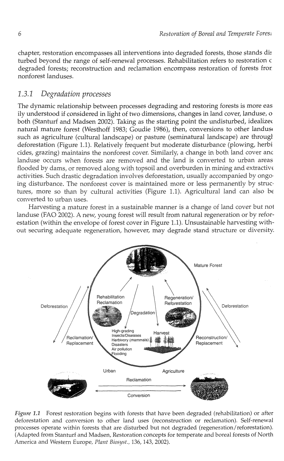chapter, restoration encompasses all interventions into degraded forests, those stands di: turbed beyond the range of self-renewal processes. Rehabilitation refers to restoration c degraded forests; reconstruction and reclamation encompass restoration of forests fror nonforest landuses.

#### *1.3.1 Degradation processes*

The dynamic relationship between processes degrading and restoring forests is more eas ily understood if considered in light of two dimensions, changes in land cover, landuse, o both (Stanturf and Madsen *2002).* Taking as the starting point the undisturbed, idealize( natural mature forest (Westhoff 1983; Goudie 1986), then, conversions to other landuse such as agriculture (cultural landscape) or pasture (seminatural landscape) are througl deforestation (Figure 1.1). Relatively frequent but moderate disturbance (plowing, herbi cides, grazing) maintains the nonforest cover. Similarly, a change in both land cover anc landuse occurs when forests are removed and the land is converted to urban areas flooded by dams, or removed along with topsoil and overburden in mining and exlractivc: activities. Such drastic degradation involves deforestation, usually accompanied by ongoing disturbance. The nonforest cover is maintained more or less permanently by structures, more so than by cultural activities (Figure 1.1). Agriculhral land can also be converted to urban uses.

Harvesting a mature forest in a sustainable manner is a change of land cover but not landuse (FA0 2002). A new, young forest will result from natural regeneration or by reforestation (within the envelope of forest cover in Figure 1.1). Unsustainable harvesting without securing adequate regeneration, however, may degrade stand stmcture or diversity.



Figure 1.1 Forest restoration begins with forests that have been degraded (rehabilitation) or after deforestation and conversion to other land uses (reconstruction or reclamation). Self-renewal processes operate within forests that are disturbed but not degraded (regeneration/reforestation). (Adapted from Stanturf and Madsen, Restoration concepts for temperate and boreal forests of North America and Western Europe, Plant Biosyst., 136, 143, 2002).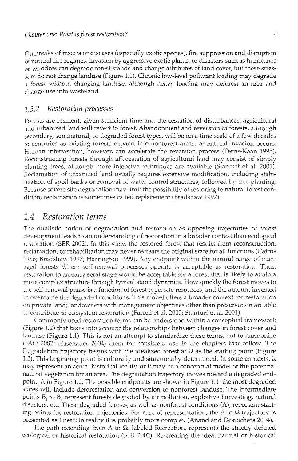Outbreaks of insects or diseases (especially exotic species), fire suppression and disruption of natural fire reghes, invasion by aggressive exotic plants, or disasters such as hurricanes or wildfires can degrade forest stands and change attributes of land cover, but these stressors do not change landuse (Figure 1.1). Chronic low-level pollutant loading may degrade a forest without changing landuse, although heavy loading may deforest an area and change use into wasteland.

#### *1.3.2 Restoration processes*

Forests are resilient: given sufficient time and the cessation of disturbances, agricultural and urbanized land will revert to forest. Abandonment and reversion to forests, although secondary, seminatural, or degraded forest types, will be on a time scale of a few decades to centuries as existing forests expand into nonforest areas, or natural invasion occurs. Human intervention, however, can accelerate the reversion process (Ferris-Kaan 1995). Reconstructing forests through afforestation of agricultural Iand may consist of simply planting trees, although more intensive techiques are available (Stanturf et al. 2001). Reclamation of urbanized land usually requires extensive modification, including stabilization of spoil banks or removal of water control structures, followed by tree planting. Because severe site degradation may limit the possibility of restoring to natural forest condition, reclamation is sometimes called replacement (Bradshaw 1997).

#### 1.4 Restoration terms

The dualistic notion of degradation and restoration as opposing trajectories of forest development leads to an understanding of restoration in a broader context than ecological restoration (SER 2002). In this view, the restored forest that results from reconstruction, reclamation, or rehabilitation may never recreate the original state for all functions (Cairns 1986; Bradshaw 1997; Marrington 1999). Any endpoint within the natural range of managed forests Where self-renewal processes operate is acceptable as restoration. Thus, restoration to an early seral stage would be acceptable for a forest that is likely to attain a more complex structure through typical stand dynamics. How quickly the forest moves to the self-renewal phase is a function of forest type, site resources, and the amount invested to overcome the degraded conditions. This model offers a broader context for restoration on private land; landowners with management objectives other than preservation are able fo contribute to ecosystem restoration (Farrell et al. 2000; Stanturf et al. 2001).

Commonly used restoration terms can be understood within a conceptual framework (Figure 1.2) that takes into account the relationships between changes in forest cover and landuse (Figure 1.1). This is not an attempt to standardize these terms, but to harmonize (FA0 2002; Hasenauer 2004) them for consistent use in the chapters that follow. The Degradation trajectory begins with the idealized forest at  $\Omega$  as the starting point (Figure 1.2). This beginning point is culturally and situationallv determined. In some contexts, it may represent an actual historical reality, or it may be a conceptual model of the potential natural vegetation for an area. The degradation trajectory moves toward a degraded endpoint, A in Figure 1.2. The possible endpoints are shown in Figure 1.1; the most degraded states will include deforestation and conversion to nonforest landuse. The intermediate points  $B_1$  to  $B_3$  represent forests degraded by air pollution, exploitive harvesting, natural disasters, etc. These degraded forests, as well as nonforest conditions (A), represent starting points for restoration trajectories. For ease of representation, the A to  $\Omega$  trajectory is presented as linear; in reality it is probably more complex (Anand and Desrochers 2004).

The path extending from A to  $\Omega$ , labeled Recreation, represents the strictly defined ecological or historical restoration (SER 2002). Re-creating the ideal natural or historical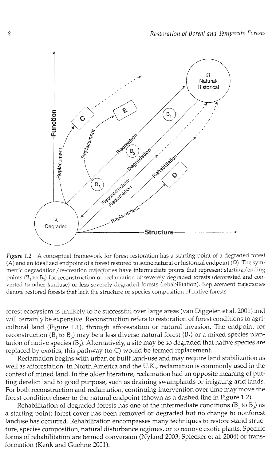

Figure 1.2 A conceptual framework for forest restoration has a starting point of a degraded forest (A) and an idealized endpoint of a forest restored to some natural or historical endpoint  $(\Omega)$ . The symmetric degradation/re-creation trajectories have intermediate points that represent starting/ending points  $(B_1 \text{ to } B_2)$  for reconstruction or reclamation of severely degraded forests (deforested and converted to other landuse) or less severely degraded forests (rehabilitation). Replacement trajectories denote restored forests that lack the structure or species composition of native forests

forest ecosystem is unlikely to be successful over large areas (van Diggelen et al. 2001) and will certainly be expensive. Reconstruction refers to restoration of forest conditions to agricultural land (Figure 1.1), through afforestation or natural invasion. The endpoint for reconstruction ( $B_1$  to  $B_2$ ) may be a less diverse natural forest ( $B_2$ ) or a mixed species plantation of native species  $(B_3)$ . Alternatively, a site may be so degraded that native species are replaced by exotics; this pathway (to C) would be termed replacement.

Reclamation begins with urban or built land-use and may require land stabilization as well as afforestation. In North America and the U.K., reclamation is commonly used in the context of mined land. In the older literature, reclamation had an opposite meaning of putting derelict land to good purpose, such as draining swamplands or irrigating arid lands. For both reconstruction and reclamation, continuing intervention over time may move the forest condition closer to the natural endpoint (shown as a dashed line in Figure 1.2).

Rehabilitation of degraded forests has one of the intermediate conditions ( $B_1$  to  $B_3$ ) as a starting point; forest cover has been removed or degraded but no change to nonforest landuse has occurred. Rehabilitation encompasses many techniques to restore stand structure, species composition, natural disturbance regimes, or to remove exotic plants. Specific forms of rehabilitation are termed conversion (Nyland 2003; Spiecker et al. 2004) or transformation (Kenk and Guehne 2001).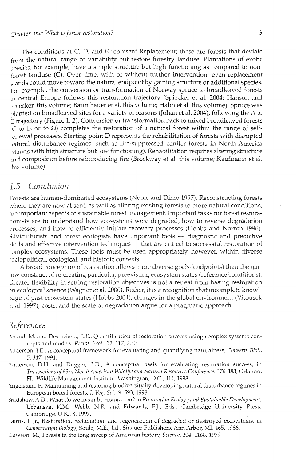### *Zirnpter one: Whaf is forest restoration?* 9

The conditions at C, D, and E represent Replacement; these are forests that deviate irom the natural range of variability but restore forestry landuse. Plantations of exotic species, for example, have a simple structure but high functioning as compared to non- $\frac{1}{10}$  lorest landuse (C). Over time, with or without further intervention, even replacement ;tands could move toward the natural endpoint by gaining structure or additional species. For example, the conversion or transformation of Norway spruce to broadleaved forests **1x1** central Europe follows this restoration trajectory (Spiecker et al. 2004; Hanson and spiecker, this volume; Baumhauer et al. this volume; Hahn et al. this volume). Spruce was  $n$ anted on broadleaved sites for a variety of reasons (Johan et al. 2004), following the A to : trajectory (Figure 1.2). Conversion or transformation back to mixed broadleaved forests  $\langle C \rangle$  to B, or to  $\Omega$ ) completes the restoration of a natural forest within the range of selfrenewal processes. Starting point D represents the rehabilitation of forests with disrupted hatural disturbance regimes, such as fire-suppressed conifer forests in North America 'stands with high structure but low functioning). Rehabilitation requires altering structure and composition before reintroducing fire (Brockway et al. this volume; Kaufmann et al. this volume).

### <sup>2</sup>-5 *Conclusion*

Forests are human-dominated ecosystems (Noble and Dirzo 1997). Reconstructing forests  $x$  where they are now absent, as well as altering existing forests to more natural conditions, Ire important aspects of sustainable forest management. Important tasks for forest restoraionists are to understand how ecosystems were degraded, how to reverse degradation brocesses, and how to efficiently initiate recovery processes (Hobbs and Norton 1996). Francisco and how to efficiently initiate recovery processes, how to reverse degradation<br>processes, and how to efficiently initiate recovery processes (Hobbs and Norton 1996).<br>Silviculturists and forest ecologists have imp 3ilviculturists and forest ecologists have important tools - diagnostic and predictive skills and effective intervention techniques - that are critical to successful restoration of :omplex ecosystems. These tools must be used appropriately, however, within diverse sociopolitical, ecological, and historic contexts.

A broad conception of restoration allows more diverse goals (endpoints) than the nartow construct of re-creating particular, preexisting ecosystem states (reference conditions). 2reater flexibility in setting restoration objectives is not a retreat from basing restoration ,n ecological science (Wagner et al. *2000).* Rather, it is a recognition that incomplete howl-2dge of past ecosystem states (Hobbs 2004l, changes in the global environment (Vitousek <sup>2t</sup> al. 1997), costs, and the scale of degradation argue for a pragmatic approach.

## References

- inand, M. and Desrochers, R.E., Quantification of restoration success using complex systems concepts and models, *Restor. Ecol.*, 12, 117, 2004.
- Anderson, J.E., A conceptual framework for evaluating and quantifying naturalness, *Conserv. Biol.*, 5,347, 1991.
- Anderson, D.H. and Dugger, B.D., A conceptual basis for evaluating restoration success, in *Pntrsactio~zs of 63rd North Aniericnti Wilrfljfc nnd Nnt~rrnl Xesoiirces Conference: 376-383,* Orlando, FL, Wildlife Management Institute, Washington, D.C., 111, 1998.
- Angelstam, P., Maintaining and restoring biodiversity by developing natural disturbance regimes in European boreal forests, *J. Veg. Sci.*, 9, 593, 1998.
- 3radshaw, A.D., What do we mean by restoration? in *Restoration Ecology and Sustainable Development*, Urbanska, K.M., Webb, N.R. and Edwards, P.J., Eds., Cambridge University Press, Cambridge, U.K., 8,1997.
- Zairns, J. Jr., Restoration, reclamation, and regeneration of degraded or destroyed ecosystems, in *Conservation Biology, Soule, M.E., Ed., Sinauer Publishers, Ann Arbor, MI, 465, 1986.*
- Ilawson, M., Forests in the long sweep of i\imerican history, *Scietlcc,* 204, 1168, 1979.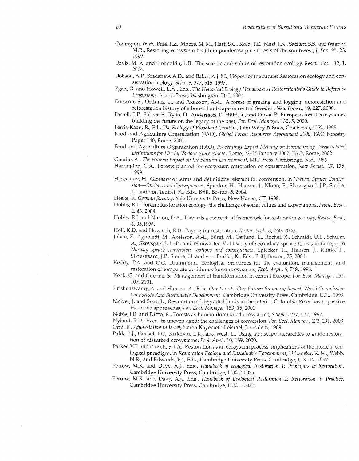- Covington, W.W., Fulé, P.Z., Moore, M. M., Hart, S.C., Kolb, T.E., Mast, J.N., Sackett, S.S. and Wagner, M.R., Restoring ecosystem health in ponderosa pine forests of the southwest, *J. For.*, 95, 23, 1997.
- Davis, M. A. and Slobodkin, L.B., The science and values of restoration ecology, Restor. Ecol., 12, 1, 2004.
- Dobson, A.P., Bradshaw, A.D., and Baker, A.J. M., Hopes for the future: Restoration ecology and conservation biology, Science, 277, 515, 1997.
- Egan, D. and Howell, E.A., Eds., The Historical Ecology Handbook: A Restorationist's Guide to Reference Ecosystems, Island Press, Washington, D.C. 2001.
- Ericsson, S., Östlund, L., and Axelsson, A.-L., A forest of grazing and logging: deforestation and reforestation history of a boreal landscape in central Sweden, New Forest., 19, 227, 2000.
- Farrell, E.P., Führer, E., Ryan, D., Andersson, F., Hüttl, R., and Piussi, P., European forest ecosystems: building the future on the legacy of the past, For. Ecol. Manage., 132, 5, 2000.
- Ferris-Kaan, R., Ed., The Ecology of Woodland Creation, John Wiley & Sons, Chichester, U.K., 1995.
- Food and Agriculture Organization (FAO), Global Forest Resources Assessment 2000, FAO Forestry Paper 140, Rome, 2001.
- Food and Agriculture Organization (FAO), Proceedings Expert Meeting on Harmonizing Forest-related Definitions for Use by Various Stakeholders, Rome, 22-25 January 2002, FAO, Rome, 2002.
- Goudie, A., The Human Impact on the Natural Environment, MIT Press, Cambridge, MA, 1986.
- Harrington, C.A., Forests planted for ecosystem restoration or conservation, New Forest., 17, 175, 1999.
- Hasenauer, H., Glossary of terms and definitions relevant for conversion, in Norway Spruce Conversion-Options and Consequences, Spiecker, H., Hansen, J., Klimo, E., Skovsgaard, J.P., Sterba, H. and von Teuffel, K., Eds., Brill, Boston, 5, 2004.
- Heske, F., German forestry, Yale University Press, New Haven, CT, 1938.
- Hobbs, R.J., Forum: Restoration ecology: the challenge of social values and expectations, Front. Ecol., 2, 43, 2004.
- Hobbs, R.J. and Norton, D.A., Towards a conceptual framework for restoration ecology, Restor. Ecol., 4.93.1996.
- Holl, K.D. and Howarth, R.B., Paying for restoration, Restor. Ecol., 8, 260, 2000.
- Johan, E., Agnoletti, M., Axelsson, A.-L., Bürgi, M., Östlund, L., Rochel, X., Schmidt, U.E., Schuler, A., Skovsgaard, J. -P., and Winiwarter, V., History of secondary spruce forests in Europe in Norway spruce conversion-options and consequences, Spiecker, H., Hansen, J., Klimo, E., Skovsgaard, J.P., Sterba, H. and von Teuffel, K., Eds., Brill, Boston, 25, 2004.
- Keddy, P.A. and C.G. Drummond, Ecological properties for the evaluation, management, and restoration of temperate deciduous forest ecosystems, Ecol. Appl., 6, 748, 1996.
- Kenk, G. and Guehne, S., Management of transformation in central Europe, For. Ecol. Manage., 151, 107, 2001.
- Krishnaswamy, A. and Hanson, A., Eds., Our Forests, Our Future: Summary Report, World Commission On Forests And Sustainable Development, Cambridge University Press, Cambridge, U.K., 1999.
- McIver, J. and Starr, L., Restoration of degraded lands in the interior Columbia River basin: passive vs. active approaches, For. Ecol. Manage., 153, 15, 2001.
- Noble, I.R. and Dirzo, R., Forests as human-dominated ecosystems, Science, 277, 522, 1997.
- Nyland, R.D., Even- to uneven-aged: the challenges of conversion, For. Ecol. Manage., 172, 291, 2003. Orni, E., Afforestation in Israel, Keren Kayemeth Leisrael, Jerusalem, 1969.
- Palik, B.J., Goebel, P.C., Kirkman, L.K., and West, L., Using landscape hierarchies to guide restoration of disturbed ecosystems, Ecol. Appl., 10, 189, 2000.
- Parker, V.T. and Pickett, S.T.A., Restoration as an ecosystem process: implications of the modern ecological paradigm, in Restoration Ecology and Sustainable Development, Urbanska, K. M., Webb, N.R., and Edwards, P.J., Eds., Cambridge University Press, Cambridge, U.K. 17, 1997.
- Perrow, M.R. and Davy, A.J., Eds., Handbook of ecological Restoration 1: Principles of Restoration, Cambridge University Press, Cambridge, U.K., 2002a.
- Perrow, M.R. and Davy, A.J., Eds., Handbook of Ecological Restoration 2: Restoration in Practice, Cambridge University Press, Cambridge, U.K., 2002b.